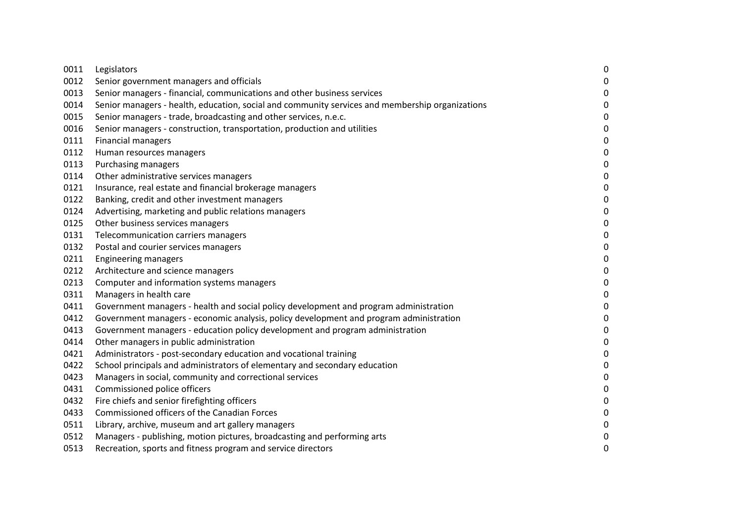| 0011 | Legislators                                                                                     | $\boldsymbol{0}$ |
|------|-------------------------------------------------------------------------------------------------|------------------|
| 0012 | Senior government managers and officials                                                        | $\mathbf 0$      |
| 0013 | Senior managers - financial, communications and other business services                         | $\boldsymbol{0}$ |
| 0014 | Senior managers - health, education, social and community services and membership organizations | $\mathbf 0$      |
| 0015 | Senior managers - trade, broadcasting and other services, n.e.c.                                | $\mathbf 0$      |
| 0016 | Senior managers - construction, transportation, production and utilities                        | $\boldsymbol{0}$ |
| 0111 | <b>Financial managers</b>                                                                       | $\mathbf 0$      |
| 0112 | Human resources managers                                                                        | $\mathbf 0$      |
| 0113 | <b>Purchasing managers</b>                                                                      | $\mathbf 0$      |
| 0114 | Other administrative services managers                                                          | $\boldsymbol{0}$ |
| 0121 | Insurance, real estate and financial brokerage managers                                         | $\boldsymbol{0}$ |
| 0122 | Banking, credit and other investment managers                                                   | $\mathbf 0$      |
| 0124 | Advertising, marketing and public relations managers                                            | $\mathbf 0$      |
| 0125 | Other business services managers                                                                | $\mathbf 0$      |
| 0131 | Telecommunication carriers managers                                                             | $\pmb{0}$        |
| 0132 | Postal and courier services managers                                                            | $\mathbf 0$      |
| 0211 | <b>Engineering managers</b>                                                                     | $\mathbf 0$      |
| 0212 | Architecture and science managers                                                               | $\boldsymbol{0}$ |
| 0213 | Computer and information systems managers                                                       | $\mathbf 0$      |
| 0311 | Managers in health care                                                                         | $\mathbf 0$      |
| 0411 | Government managers - health and social policy development and program administration           | $\boldsymbol{0}$ |
| 0412 | Government managers - economic analysis, policy development and program administration          | $\boldsymbol{0}$ |
| 0413 | Government managers - education policy development and program administration                   | $\mathbf 0$      |
| 0414 | Other managers in public administration                                                         | $\mathbf 0$      |
| 0421 | Administrators - post-secondary education and vocational training                               | $\boldsymbol{0}$ |
| 0422 | School principals and administrators of elementary and secondary education                      | $\pmb{0}$        |
| 0423 | Managers in social, community and correctional services                                         | $\mathbf 0$      |
| 0431 | Commissioned police officers                                                                    | $\boldsymbol{0}$ |
| 0432 | Fire chiefs and senior firefighting officers                                                    | $\boldsymbol{0}$ |
| 0433 | Commissioned officers of the Canadian Forces                                                    | $\boldsymbol{0}$ |
| 0511 | Library, archive, museum and art gallery managers                                               | $\mathbf 0$      |
| 0512 | Managers - publishing, motion pictures, broadcasting and performing arts                        | $\boldsymbol{0}$ |
| 0513 | Recreation, sports and fitness program and service directors                                    | $\mathbf 0$      |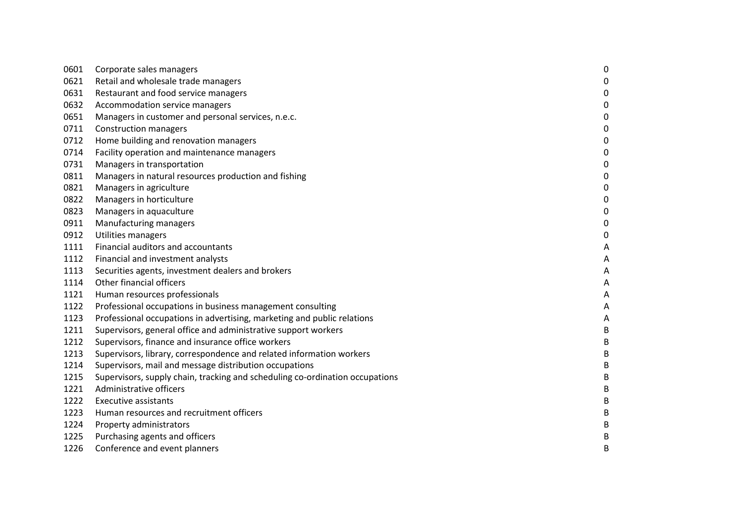| 0601 | Corporate sales managers                                                     | 0                |
|------|------------------------------------------------------------------------------|------------------|
| 0621 | Retail and wholesale trade managers                                          | $\boldsymbol{0}$ |
| 0631 | Restaurant and food service managers                                         | $\boldsymbol{0}$ |
| 0632 | Accommodation service managers                                               | $\boldsymbol{0}$ |
| 0651 | Managers in customer and personal services, n.e.c.                           | $\mathbf 0$      |
| 0711 | <b>Construction managers</b>                                                 | $\mathbf 0$      |
| 0712 | Home building and renovation managers                                        | 0                |
| 0714 | Facility operation and maintenance managers                                  | 0                |
| 0731 | Managers in transportation                                                   | $\mathbf 0$      |
| 0811 | Managers in natural resources production and fishing                         | 0                |
| 0821 | Managers in agriculture                                                      | 0                |
| 0822 | Managers in horticulture                                                     | $\mathbf 0$      |
| 0823 | Managers in aquaculture                                                      | 0                |
| 0911 | Manufacturing managers                                                       | 0                |
| 0912 | Utilities managers                                                           | 0                |
| 1111 | Financial auditors and accountants                                           | Α                |
| 1112 | Financial and investment analysts                                            | Α                |
| 1113 | Securities agents, investment dealers and brokers                            | Α                |
| 1114 | Other financial officers                                                     | Α                |
| 1121 | Human resources professionals                                                | A                |
| 1122 | Professional occupations in business management consulting                   | Α                |
| 1123 | Professional occupations in advertising, marketing and public relations      | A                |
| 1211 | Supervisors, general office and administrative support workers               | B                |
| 1212 | Supervisors, finance and insurance office workers                            | B                |
| 1213 | Supervisors, library, correspondence and related information workers         | B                |
| 1214 | Supervisors, mail and message distribution occupations                       | B                |
| 1215 | Supervisors, supply chain, tracking and scheduling co-ordination occupations | B                |
| 1221 | Administrative officers                                                      | B                |
| 1222 | <b>Executive assistants</b>                                                  | B                |
| 1223 | Human resources and recruitment officers                                     | B                |
| 1224 | Property administrators                                                      | B                |
| 1225 | Purchasing agents and officers                                               | B                |
| 1226 | Conference and event planners                                                | B                |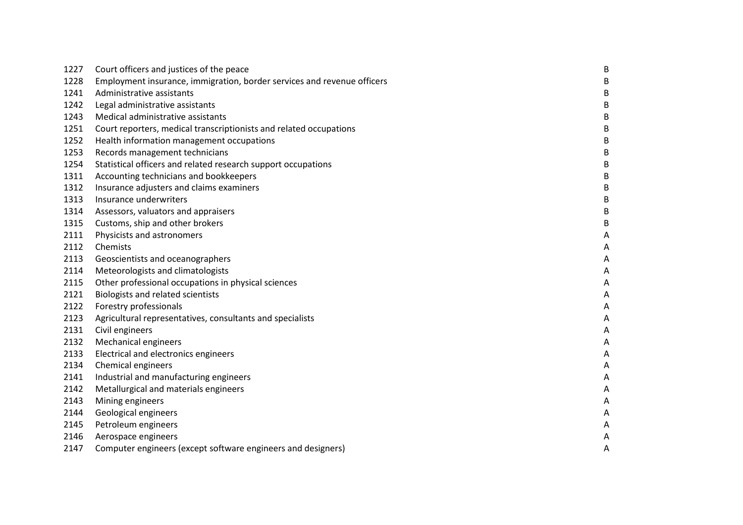| 1227 | Court officers and justices of the peace                                | B |
|------|-------------------------------------------------------------------------|---|
| 1228 | Employment insurance, immigration, border services and revenue officers | B |
| 1241 | Administrative assistants                                               | B |
| 1242 | Legal administrative assistants                                         | В |
| 1243 | Medical administrative assistants                                       | B |
| 1251 | Court reporters, medical transcriptionists and related occupations      | B |
| 1252 | Health information management occupations                               | B |
| 1253 | Records management technicians                                          | B |
| 1254 | Statistical officers and related research support occupations           | B |
| 1311 | Accounting technicians and bookkeepers                                  | B |
| 1312 | Insurance adjusters and claims examiners                                | B |
| 1313 | Insurance underwriters                                                  | B |
| 1314 | Assessors, valuators and appraisers                                     | B |
| 1315 | Customs, ship and other brokers                                         | B |
| 2111 | Physicists and astronomers                                              | A |
| 2112 | Chemists                                                                | A |
| 2113 | Geoscientists and oceanographers                                        | A |
| 2114 | Meteorologists and climatologists                                       | A |
| 2115 | Other professional occupations in physical sciences                     | A |
| 2121 | Biologists and related scientists                                       | A |
| 2122 | Forestry professionals                                                  | Α |
| 2123 | Agricultural representatives, consultants and specialists               | Α |
| 2131 | Civil engineers                                                         | A |
| 2132 | <b>Mechanical engineers</b>                                             | A |
| 2133 | Electrical and electronics engineers                                    | A |
| 2134 | Chemical engineers                                                      | A |
| 2141 | Industrial and manufacturing engineers                                  | Α |
| 2142 | Metallurgical and materials engineers                                   | A |
| 2143 | Mining engineers                                                        | Α |
| 2144 | Geological engineers                                                    | A |
| 2145 | Petroleum engineers                                                     | Α |
| 2146 | Aerospace engineers                                                     | A |
| 2147 | Computer engineers (except software engineers and designers)            | Α |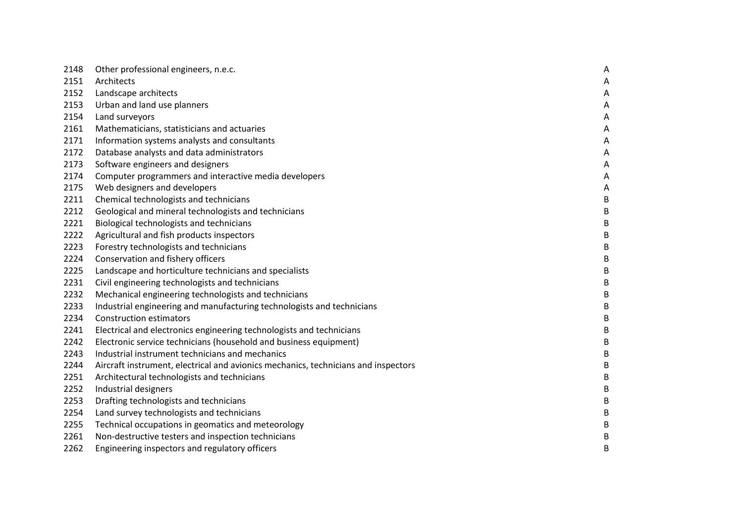| 2148 | Other professional engineers, n.e.c.                                               | A       |
|------|------------------------------------------------------------------------------------|---------|
| 2151 | Architects                                                                         | A       |
| 2152 | Landscape architects                                                               | Α       |
| 2153 | Urban and land use planners                                                        | A       |
| 2154 | Land surveyors                                                                     | A       |
| 2161 | Mathematicians, statisticians and actuaries                                        | Α       |
| 2171 | Information systems analysts and consultants                                       | Α       |
| 2172 | Database analysts and data administrators                                          | Α       |
| 2173 | Software engineers and designers                                                   | A       |
| 2174 | Computer programmers and interactive media developers                              | Α       |
| 2175 | Web designers and developers                                                       | A       |
| 2211 | Chemical technologists and technicians                                             | $\sf B$ |
| 2212 | Geological and mineral technologists and technicians                               | $\sf B$ |
| 2221 | Biological technologists and technicians                                           | B       |
| 2222 | Agricultural and fish products inspectors                                          | B       |
| 2223 | Forestry technologists and technicians                                             | B       |
| 2224 | Conservation and fishery officers                                                  | B       |
| 2225 | Landscape and horticulture technicians and specialists                             | B       |
| 2231 | Civil engineering technologists and technicians                                    | B       |
| 2232 | Mechanical engineering technologists and technicians                               | B       |
| 2233 | Industrial engineering and manufacturing technologists and technicians             | B       |
| 2234 | <b>Construction estimators</b>                                                     | B       |
| 2241 | Electrical and electronics engineering technologists and technicians               | B       |
| 2242 | Electronic service technicians (household and business equipment)                  | B       |
| 2243 | Industrial instrument technicians and mechanics                                    | B       |
| 2244 | Aircraft instrument, electrical and avionics mechanics, technicians and inspectors | B       |
| 2251 | Architectural technologists and technicians                                        | B       |
| 2252 | Industrial designers                                                               | B       |
| 2253 | Drafting technologists and technicians                                             | B       |
| 2254 | Land survey technologists and technicians                                          | B       |
| 2255 | Technical occupations in geomatics and meteorology                                 | B       |
| 2261 | Non-destructive testers and inspection technicians                                 | B       |
| 2262 | Engineering inspectors and regulatory officers                                     | B       |
|      |                                                                                    |         |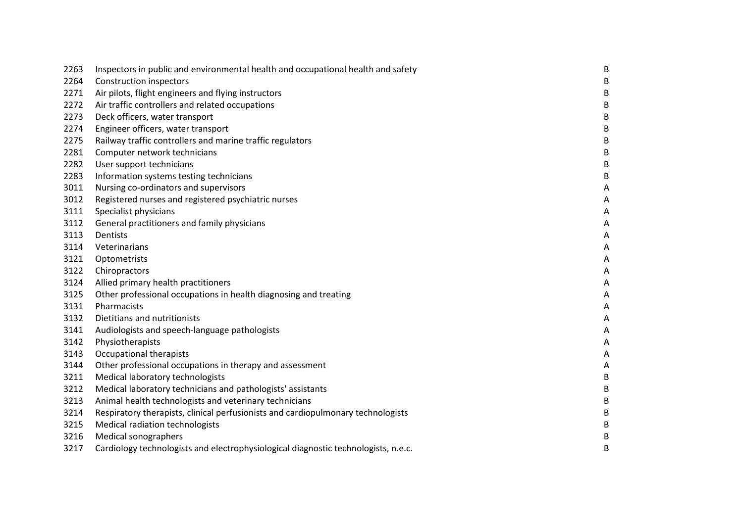| 2263 | Inspectors in public and environmental health and occupational health and safety   | B              |
|------|------------------------------------------------------------------------------------|----------------|
| 2264 | <b>Construction inspectors</b>                                                     | B              |
| 2271 | Air pilots, flight engineers and flying instructors                                | B              |
| 2272 | Air traffic controllers and related occupations                                    | B              |
| 2273 | Deck officers, water transport                                                     | B              |
| 2274 | Engineer officers, water transport                                                 | B              |
| 2275 | Railway traffic controllers and marine traffic regulators                          | B              |
| 2281 | Computer network technicians                                                       | B              |
| 2282 | User support technicians                                                           | B              |
| 2283 | Information systems testing technicians                                            | B              |
| 3011 | Nursing co-ordinators and supervisors                                              | A              |
| 3012 | Registered nurses and registered psychiatric nurses                                | $\overline{A}$ |
| 3111 | Specialist physicians                                                              | Α              |
| 3112 | General practitioners and family physicians                                        | A              |
| 3113 | Dentists                                                                           | $\overline{A}$ |
| 3114 | Veterinarians                                                                      | $\overline{A}$ |
| 3121 | Optometrists                                                                       | A              |
| 3122 | Chiropractors                                                                      | $\overline{A}$ |
| 3124 | Allied primary health practitioners                                                | A              |
| 3125 | Other professional occupations in health diagnosing and treating                   | A              |
| 3131 | Pharmacists                                                                        | Α              |
| 3132 | Dietitians and nutritionists                                                       | A              |
| 3141 | Audiologists and speech-language pathologists                                      | Α              |
| 3142 | Physiotherapists                                                                   | Α              |
| 3143 | Occupational therapists                                                            | A              |
| 3144 | Other professional occupations in therapy and assessment                           | $\overline{A}$ |
| 3211 | Medical laboratory technologists                                                   | B              |
| 3212 | Medical laboratory technicians and pathologists' assistants                        | B              |
| 3213 | Animal health technologists and veterinary technicians                             | B              |
| 3214 | Respiratory therapists, clinical perfusionists and cardiopulmonary technologists   | B              |
| 3215 | Medical radiation technologists                                                    | B              |
| 3216 | <b>Medical sonographers</b>                                                        | B              |
| 3217 | Cardiology technologists and electrophysiological diagnostic technologists, n.e.c. | B              |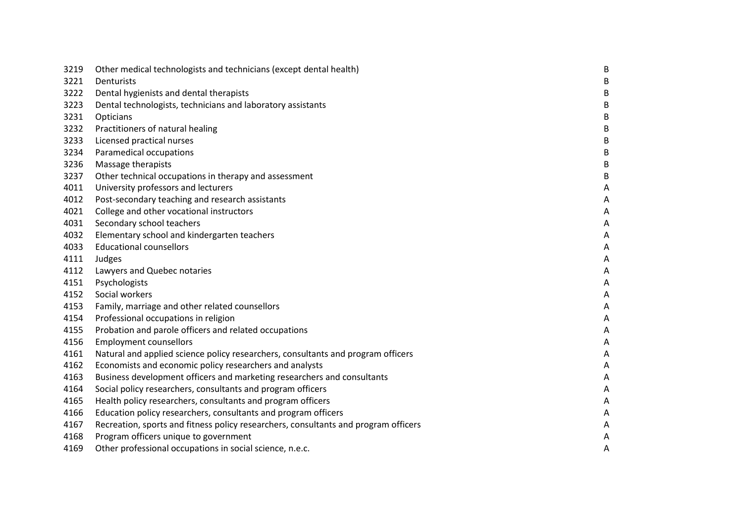| 3219 | Other medical technologists and technicians (except dental health)                  | B |
|------|-------------------------------------------------------------------------------------|---|
| 3221 | Denturists                                                                          | B |
| 3222 | Dental hygienists and dental therapists                                             | B |
| 3223 | Dental technologists, technicians and laboratory assistants                         | В |
| 3231 | Opticians                                                                           | B |
| 3232 | Practitioners of natural healing                                                    | В |
| 3233 | Licensed practical nurses                                                           | B |
| 3234 | Paramedical occupations                                                             | В |
| 3236 | Massage therapists                                                                  | B |
| 3237 | Other technical occupations in therapy and assessment                               | B |
| 4011 | University professors and lecturers                                                 | Α |
| 4012 | Post-secondary teaching and research assistants                                     | Α |
| 4021 | College and other vocational instructors                                            | A |
| 4031 | Secondary school teachers                                                           | Α |
| 4032 | Elementary school and kindergarten teachers                                         | Α |
| 4033 | <b>Educational counsellors</b>                                                      | Α |
| 4111 | Judges                                                                              | Α |
| 4112 | Lawyers and Quebec notaries                                                         | Α |
| 4151 | Psychologists                                                                       | A |
| 4152 | Social workers                                                                      | Α |
| 4153 | Family, marriage and other related counsellors                                      | Α |
| 4154 | Professional occupations in religion                                                | Α |
| 4155 | Probation and parole officers and related occupations                               | A |
| 4156 | <b>Employment counsellors</b>                                                       | Α |
| 4161 | Natural and applied science policy researchers, consultants and program officers    | Α |
| 4162 | Economists and economic policy researchers and analysts                             | Α |
| 4163 | Business development officers and marketing researchers and consultants             | A |
| 4164 | Social policy researchers, consultants and program officers                         | Α |
| 4165 | Health policy researchers, consultants and program officers                         | Α |
| 4166 | Education policy researchers, consultants and program officers                      | Α |
| 4167 | Recreation, sports and fitness policy researchers, consultants and program officers | Α |
| 4168 | Program officers unique to government                                               | Α |
| 4169 | Other professional occupations in social science, n.e.c.                            | Α |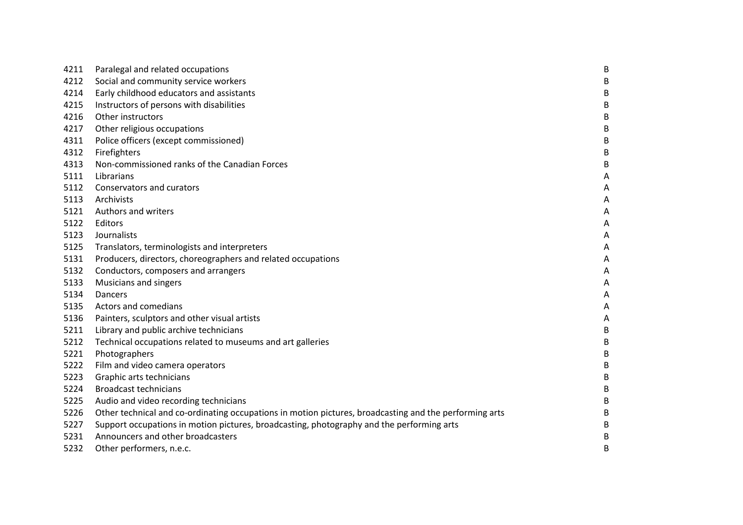| 4211 | Paralegal and related occupations                                                                      | $\sf B$ |
|------|--------------------------------------------------------------------------------------------------------|---------|
| 4212 | Social and community service workers                                                                   | B       |
| 4214 | Early childhood educators and assistants                                                               | B       |
| 4215 | Instructors of persons with disabilities                                                               | B       |
| 4216 | Other instructors                                                                                      | B       |
| 4217 | Other religious occupations                                                                            | B       |
| 4311 | Police officers (except commissioned)                                                                  | $\sf B$ |
| 4312 | Firefighters                                                                                           | B       |
| 4313 | Non-commissioned ranks of the Canadian Forces                                                          | B       |
| 5111 | Librarians                                                                                             | A       |
| 5112 | Conservators and curators                                                                              | Α       |
| 5113 | Archivists                                                                                             | Α       |
| 5121 | Authors and writers                                                                                    | A       |
| 5122 | Editors                                                                                                | A       |
| 5123 | Journalists                                                                                            | A       |
| 5125 | Translators, terminologists and interpreters                                                           | A       |
| 5131 | Producers, directors, choreographers and related occupations                                           | A       |
| 5132 | Conductors, composers and arrangers                                                                    | Α       |
| 5133 | Musicians and singers                                                                                  | Α       |
| 5134 | Dancers                                                                                                | A       |
| 5135 | Actors and comedians                                                                                   | A       |
| 5136 | Painters, sculptors and other visual artists                                                           | A       |
| 5211 | Library and public archive technicians                                                                 | B       |
| 5212 | Technical occupations related to museums and art galleries                                             | B       |
| 5221 | Photographers                                                                                          | $\sf B$ |
| 5222 | Film and video camera operators                                                                        | B       |
| 5223 | Graphic arts technicians                                                                               | B       |
| 5224 | <b>Broadcast technicians</b>                                                                           | B       |
| 5225 | Audio and video recording technicians                                                                  | $\sf B$ |
| 5226 | Other technical and co-ordinating occupations in motion pictures, broadcasting and the performing arts | B       |
| 5227 | Support occupations in motion pictures, broadcasting, photography and the performing arts              | B       |
| 5231 | Announcers and other broadcasters                                                                      | B       |
| 5232 | Other performers, n.e.c.                                                                               | B       |
|      |                                                                                                        |         |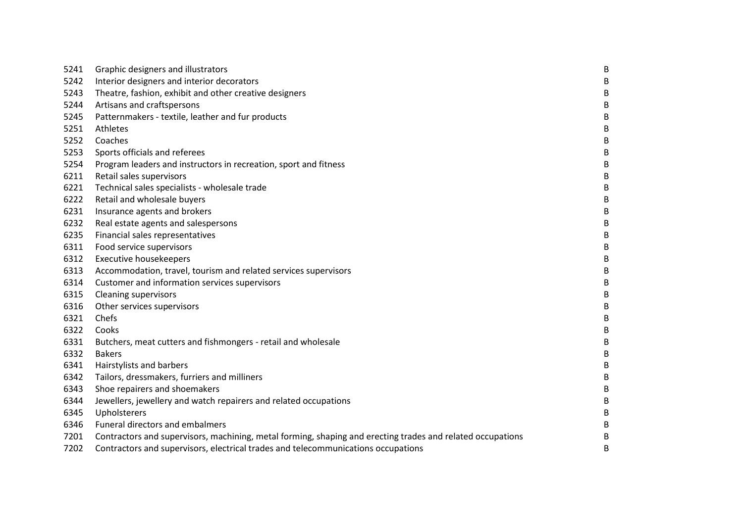| 5241 | Graphic designers and illustrators                                                                         | $\sf B$ |
|------|------------------------------------------------------------------------------------------------------------|---------|
| 5242 | Interior designers and interior decorators                                                                 | B       |
| 5243 | Theatre, fashion, exhibit and other creative designers                                                     | $\sf B$ |
| 5244 | Artisans and craftspersons                                                                                 | $\sf B$ |
| 5245 | Patternmakers - textile, leather and fur products                                                          | $\sf B$ |
| 5251 | Athletes                                                                                                   | $\sf B$ |
| 5252 | Coaches                                                                                                    | $\sf B$ |
| 5253 | Sports officials and referees                                                                              | $\sf B$ |
| 5254 | Program leaders and instructors in recreation, sport and fitness                                           | $\sf B$ |
| 6211 | Retail sales supervisors                                                                                   | B       |
| 6221 | Technical sales specialists - wholesale trade                                                              | $\sf B$ |
| 6222 | Retail and wholesale buyers                                                                                | $\sf B$ |
| 6231 | Insurance agents and brokers                                                                               | $\sf B$ |
| 6232 | Real estate agents and salespersons                                                                        | $\sf B$ |
| 6235 | Financial sales representatives                                                                            | B       |
| 6311 | Food service supervisors                                                                                   | B       |
| 6312 | <b>Executive housekeepers</b>                                                                              | B       |
| 6313 | Accommodation, travel, tourism and related services supervisors                                            | $\sf B$ |
| 6314 | Customer and information services supervisors                                                              | $\sf B$ |
| 6315 | <b>Cleaning supervisors</b>                                                                                | $\sf B$ |
| 6316 | Other services supervisors                                                                                 | $\sf B$ |
| 6321 | Chefs                                                                                                      | $\sf B$ |
| 6322 | Cooks                                                                                                      | $\sf B$ |
| 6331 | Butchers, meat cutters and fishmongers - retail and wholesale                                              | B       |
| 6332 | <b>Bakers</b>                                                                                              | $\sf B$ |
| 6341 | Hairstylists and barbers                                                                                   | B       |
| 6342 | Tailors, dressmakers, furriers and milliners                                                               | B       |
| 6343 | Shoe repairers and shoemakers                                                                              | B       |
| 6344 | Jewellers, jewellery and watch repairers and related occupations                                           | $\sf B$ |
| 6345 | Upholsterers                                                                                               | B       |
| 6346 | Funeral directors and embalmers                                                                            | B       |
| 7201 | Contractors and supervisors, machining, metal forming, shaping and erecting trades and related occupations | B       |
| 7202 | Contractors and supervisors, electrical trades and telecommunications occupations                          | B       |
|      |                                                                                                            |         |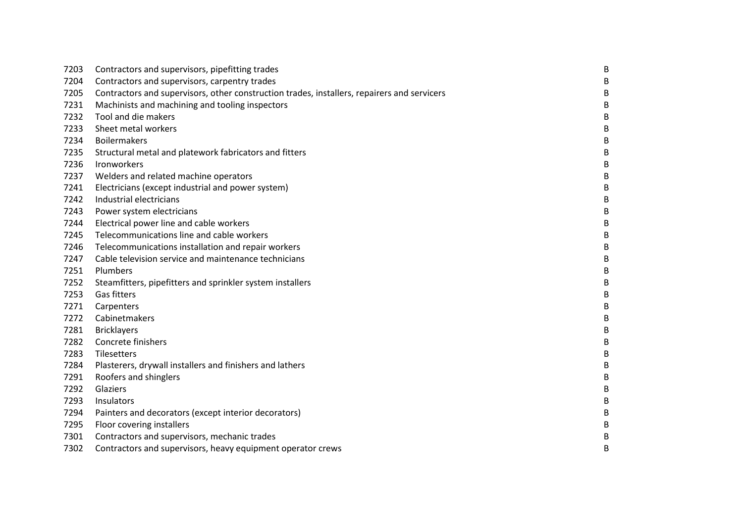| 7203 | Contractors and supervisors, pipefitting trades                                             | $\sf B$ |
|------|---------------------------------------------------------------------------------------------|---------|
| 7204 | Contractors and supervisors, carpentry trades                                               | B       |
| 7205 | Contractors and supervisors, other construction trades, installers, repairers and servicers | B       |
| 7231 | Machinists and machining and tooling inspectors                                             | B       |
| 7232 | Tool and die makers                                                                         | B       |
| 7233 | Sheet metal workers                                                                         | B       |
| 7234 | <b>Boilermakers</b>                                                                         | B       |
| 7235 | Structural metal and platework fabricators and fitters                                      | B       |
| 7236 | Ironworkers                                                                                 | B       |
| 7237 | Welders and related machine operators                                                       | B       |
| 7241 | Electricians (except industrial and power system)                                           | B       |
| 7242 | Industrial electricians                                                                     | B       |
| 7243 | Power system electricians                                                                   | B       |
| 7244 | Electrical power line and cable workers                                                     | B       |
| 7245 | Telecommunications line and cable workers                                                   | B       |
| 7246 | Telecommunications installation and repair workers                                          | B       |
| 7247 | Cable television service and maintenance technicians                                        | B       |
| 7251 | Plumbers                                                                                    | $\sf B$ |
| 7252 | Steamfitters, pipefitters and sprinkler system installers                                   | B       |
| 7253 | Gas fitters                                                                                 | $\sf B$ |
| 7271 | Carpenters                                                                                  | B       |
| 7272 | Cabinetmakers                                                                               | B       |
| 7281 | <b>Bricklayers</b>                                                                          | B       |
| 7282 | Concrete finishers                                                                          | B       |
| 7283 | Tilesetters                                                                                 | B       |
| 7284 | Plasterers, drywall installers and finishers and lathers                                    | B       |
| 7291 | Roofers and shinglers                                                                       | B       |
| 7292 | Glaziers                                                                                    | B       |
| 7293 | Insulators                                                                                  | B       |
| 7294 | Painters and decorators (except interior decorators)                                        | B       |
| 7295 | Floor covering installers                                                                   | B       |
| 7301 | Contractors and supervisors, mechanic trades                                                | B       |
| 7302 | Contractors and supervisors, heavy equipment operator crews                                 | B       |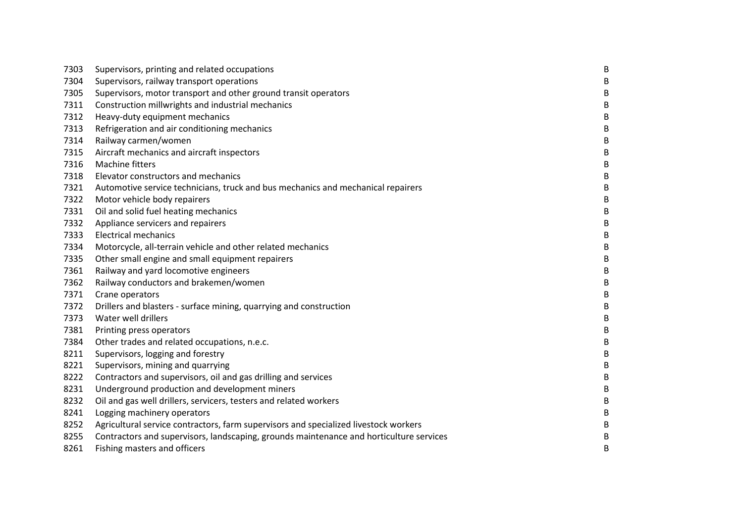| 7303 | Supervisors, printing and related occupations                                           | $\sf B$ |
|------|-----------------------------------------------------------------------------------------|---------|
| 7304 | Supervisors, railway transport operations                                               | В       |
| 7305 | Supervisors, motor transport and other ground transit operators                         | B       |
| 7311 | Construction millwrights and industrial mechanics                                       | B       |
| 7312 | Heavy-duty equipment mechanics                                                          | $\sf B$ |
| 7313 | Refrigeration and air conditioning mechanics                                            | B       |
| 7314 | Railway carmen/women                                                                    | $\sf B$ |
| 7315 | Aircraft mechanics and aircraft inspectors                                              | B       |
| 7316 | Machine fitters                                                                         | B       |
| 7318 | Elevator constructors and mechanics                                                     | B       |
| 7321 | Automotive service technicians, truck and bus mechanics and mechanical repairers        | B       |
| 7322 | Motor vehicle body repairers                                                            | $\sf B$ |
| 7331 | Oil and solid fuel heating mechanics                                                    | B       |
| 7332 | Appliance servicers and repairers                                                       | B       |
| 7333 | <b>Electrical mechanics</b>                                                             | B       |
| 7334 | Motorcycle, all-terrain vehicle and other related mechanics                             | B       |
| 7335 | Other small engine and small equipment repairers                                        | B       |
| 7361 | Railway and yard locomotive engineers                                                   | $\sf B$ |
| 7362 | Railway conductors and brakemen/women                                                   | B       |
| 7371 | Crane operators                                                                         | $\sf B$ |
| 7372 | Drillers and blasters - surface mining, quarrying and construction                      | B       |
| 7373 | Water well drillers                                                                     | B       |
| 7381 | Printing press operators                                                                | $\sf B$ |
| 7384 | Other trades and related occupations, n.e.c.                                            | B       |
| 8211 | Supervisors, logging and forestry                                                       | B       |
| 8221 | Supervisors, mining and quarrying                                                       | B       |
| 8222 | Contractors and supervisors, oil and gas drilling and services                          | $\sf B$ |
| 8231 | Underground production and development miners                                           | B       |
| 8232 | Oil and gas well drillers, servicers, testers and related workers                       | B       |
| 8241 | Logging machinery operators                                                             | B       |
| 8252 | Agricultural service contractors, farm supervisors and specialized livestock workers    | $\sf B$ |
| 8255 | Contractors and supervisors, landscaping, grounds maintenance and horticulture services | B       |
| 8261 | Fishing masters and officers                                                            | B       |